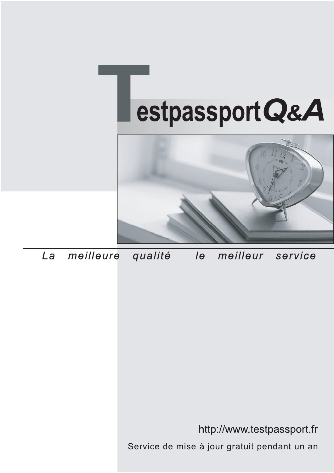



meilleure La qualité  $\overline{e}$ meilleur service

http://www.testpassport.fr

Service de mise à jour gratuit pendant un an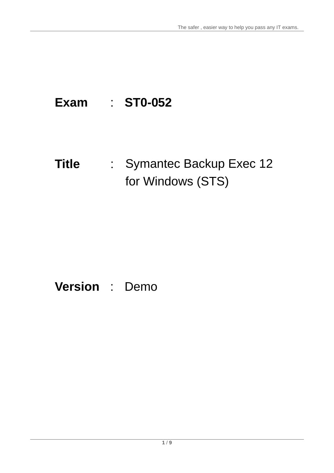# **Exam** : **ST0-052**

**Title** : Symantec Backup Exec 12 for Windows (STS)

# **Version** : Demo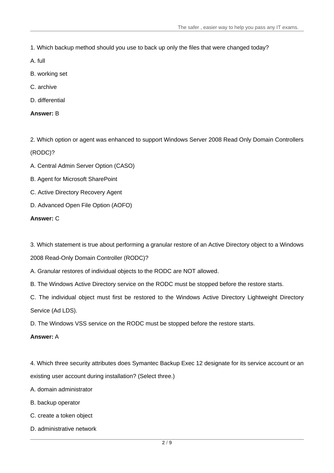1. Which backup method should you use to back up only the files that were changed today?

A. full

- B. working set
- C. archive
- D. differential

## **Answer:** B

2. Which option or agent was enhanced to support Windows Server 2008 Read Only Domain Controllers

# (RODC)?

- A. Central Admin Server Option (CASO)
- B. Agent for Microsoft SharePoint
- C. Active Directory Recovery Agent
- D. Advanced Open File Option (AOFO)

## **Answer:** C

3. Which statement is true about performing a granular restore of an Active Directory object to a Windows

2008 Read-Only Domain Controller (RODC)?

A. Granular restores of individual objects to the RODC are NOT allowed.

B. The Windows Active Directory service on the RODC must be stopped before the restore starts.

C. The individual object must first be restored to the Windows Active Directory Lightweight Directory Service (Ad LDS).

D. The Windows VSS service on the RODC must be stopped before the restore starts.

## **Answer:** A

4. Which three security attributes does Symantec Backup Exec 12 designate for its service account or an existing user account during installation? (Select three.)

A. domain administrator

- B. backup operator
- C. create a token object
- D. administrative network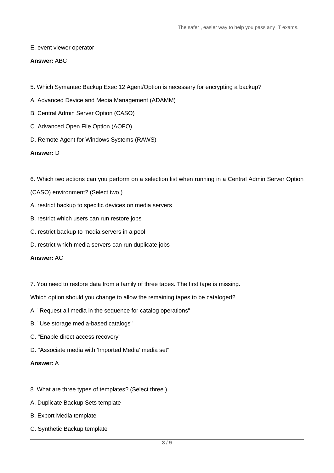## E. event viewer operator

## **Answer:** ABC

- 5. Which Symantec Backup Exec 12 Agent/Option is necessary for encrypting a backup?
- A. Advanced Device and Media Management (ADAMM)
- B. Central Admin Server Option (CASO)
- C. Advanced Open File Option (AOFO)
- D. Remote Agent for Windows Systems (RAWS)

## **Answer:** D

- 6. Which two actions can you perform on a selection list when running in a Central Admin Server Option
- (CASO) environment? (Select two.)
- A. restrict backup to specific devices on media servers
- B. restrict which users can run restore jobs
- C. restrict backup to media servers in a pool
- D. restrict which media servers can run duplicate jobs

## **Answer:** AC

7. You need to restore data from a family of three tapes. The first tape is missing.

Which option should you change to allow the remaining tapes to be cataloged?

- A. "Request all media in the sequence for catalog operations"
- B. "Use storage media-based catalogs"
- C. "Enable direct access recovery"
- D. "Associate media with 'Imported Media' media set"

## **Answer:** A

- 8. What are three types of templates? (Select three.)
- A. Duplicate Backup Sets template
- B. Export Media template
- C. Synthetic Backup template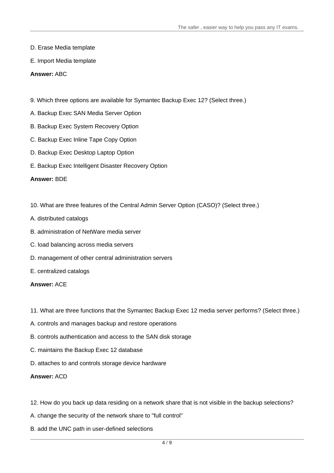- D. Erase Media template
- E. Import Media template

#### **Answer:** ABC

- 9. Which three options are available for Symantec Backup Exec 12? (Select three.)
- A. Backup Exec SAN Media Server Option
- B. Backup Exec System Recovery Option
- C. Backup Exec Inline Tape Copy Option
- D. Backup Exec Desktop Laptop Option
- E. Backup Exec Intelligent Disaster Recovery Option

#### **Answer:** BDE

- 10. What are three features of the Central Admin Server Option (CASO)? (Select three.)
- A. distributed catalogs
- B. administration of NetWare media server
- C. load balancing across media servers
- D. management of other central administration servers
- E. centralized catalogs

#### **Answer:** ACE

- 11. What are three functions that the Symantec Backup Exec 12 media server performs? (Select three.)
- A. controls and manages backup and restore operations
- B. controls authentication and access to the SAN disk storage
- C. maintains the Backup Exec 12 database
- D. attaches to and controls storage device hardware

#### **Answer:** ACD

- 12. How do you back up data residing on a network share that is not visible in the backup selections?
- A. change the security of the network share to "full control"
- B. add the UNC path in user-defined selections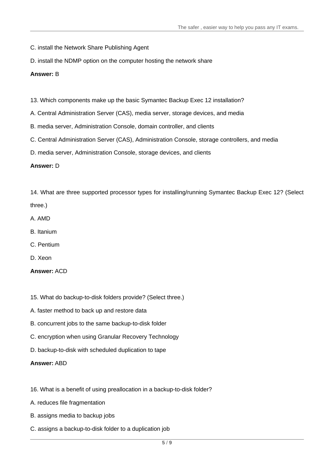- C. install the Network Share Publishing Agent
- D. install the NDMP option on the computer hosting the network share

## **Answer:** B

- 13. Which components make up the basic Symantec Backup Exec 12 installation?
- A. Central Administration Server (CAS), media server, storage devices, and media
- B. media server, Administration Console, domain controller, and clients
- C. Central Administration Server (CAS), Administration Console, storage controllers, and media
- D. media server, Administration Console, storage devices, and clients

# **Answer:** D

14. What are three supported processor types for installing/running Symantec Backup Exec 12? (Select

- three.)
- A. AMD
- B. Itanium
- C. Pentium
- D. Xeon

# **Answer:** ACD

- 15. What do backup-to-disk folders provide? (Select three.)
- A. faster method to back up and restore data
- B. concurrent jobs to the same backup-to-disk folder
- C. encryption when using Granular Recovery Technology
- D. backup-to-disk with scheduled duplication to tape

## **Answer:** ABD

- 16. What is a benefit of using preallocation in a backup-to-disk folder?
- A. reduces file fragmentation
- B. assigns media to backup jobs
- C. assigns a backup-to-disk folder to a duplication job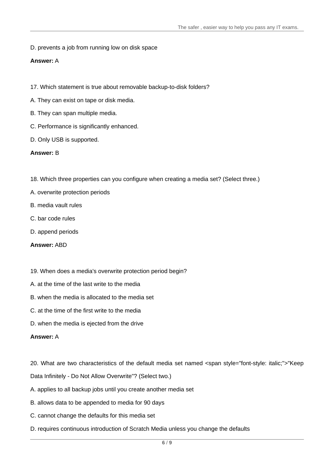D. prevents a job from running low on disk space

# **Answer:** A

- 17. Which statement is true about removable backup-to-disk folders?
- A. They can exist on tape or disk media.
- B. They can span multiple media.
- C. Performance is significantly enhanced.
- D. Only USB is supported.

## **Answer:** B

- 18. Which three properties can you configure when creating a media set? (Select three.)
- A. overwrite protection periods
- B. media vault rules
- C. bar code rules
- D. append periods
- **Answer:** ABD
- 19. When does a media's overwrite protection period begin?
- A. at the time of the last write to the media
- B. when the media is allocated to the media set
- C. at the time of the first write to the media
- D. when the media is ejected from the drive

## **Answer:** A

- 20. What are two characteristics of the default media set named <span style="font-style: italic;">"Keep
- Data Infinitely Do Not Allow Overwrite"? (Select two.)
- A. applies to all backup jobs until you create another media set
- B. allows data to be appended to media for 90 days
- C. cannot change the defaults for this media set
- D. requires continuous introduction of Scratch Media unless you change the defaults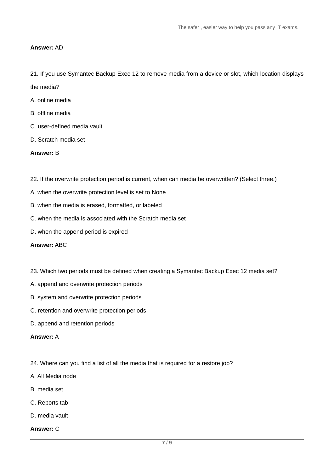## **Answer:** AD

21. If you use Symantec Backup Exec12 to remove media from a device or slot, which location displays

the media?

- A. online media
- B. offline media
- C. user-defined media vault
- D. Scratch media set

## **Answer:** B

- 22. If the overwrite protection period is current, when can media be overwritten? (Select three.)
- A. when the overwrite protection level is set to None
- B. when the media is erased, formatted, or labeled
- C. when the media is associated with the Scratch media set
- D. when the append period is expired

## **Answer:** ABC

- 23. Which two periods must be defined when creating a Symantec Backup Exec 12 media set?
- A. append and overwrite protection periods
- B. system and overwrite protection periods
- C. retention and overwrite protection periods
- D. append and retention periods

#### **Answer:** A

- 24. Where can you find a list of all the media that is required for a restore job?
- A. All Media node
- B. media set
- C. Reports tab
- D. media vault
- **Answer:** C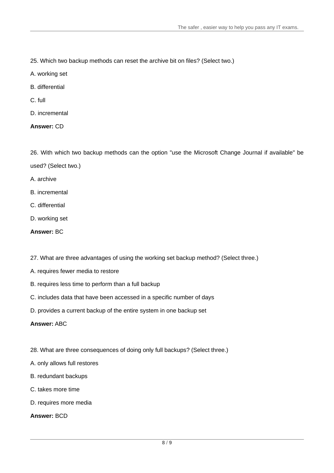- 25. Which two backup methods can reset the archive bit on files? (Select two.)
- A. working set
- B. differential
- C. full
- D. incremental

# **Answer:** CD

26. With which two backup methods can the option "use the Microsoft Change Journal if available" be used? (Select two.)

- A. archive
- B. incremental
- C. differential
- D. working set
- **Answer:** BC
- 27. What are three advantages of using the working set backup method? (Select three.)
- A. requires fewer media to restore
- B. requires less time to perform than a full backup
- C. includes data that have been accessed in a specific number of days
- D. provides a current backup of the entire system in one backup set

**Answer:** ABC

- 28. What are three consequences of doing only full backups? (Select three.)
- A. only allows full restores
- B. redundant backups
- C. takes more time
- D. requires more media

**Answer:** BCD